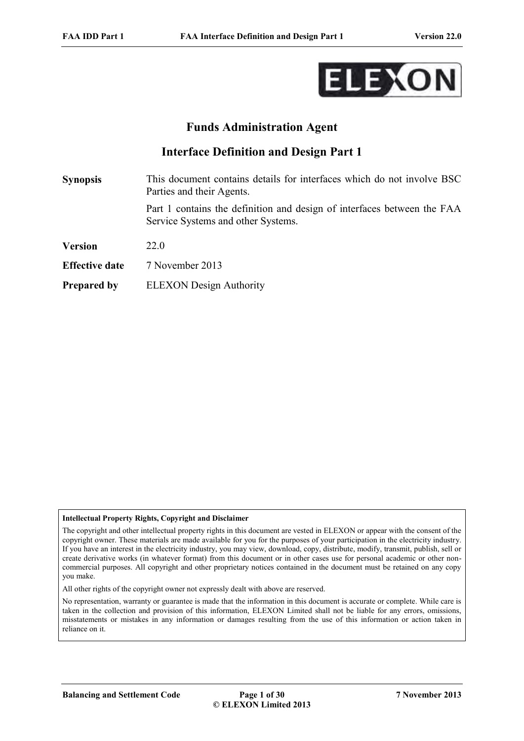

# **Funds Administration Agent**

# **Interface Definition and Design Part 1**

**Synopsis** This document contains details for interfaces which do not involve BSC Parties and their Agents. Part 1 contains the definition and design of interfaces between the FAA Service Systems and other Systems. **Version** 22.0 **Effective date** 7 November 2013

### **Prepared by** ELEXON Design Authority

#### **Intellectual Property Rights, Copyright and Disclaimer**

The copyright and other intellectual property rights in this document are vested in ELEXON or appear with the consent of the copyright owner. These materials are made available for you for the purposes of your participation in the electricity industry. If you have an interest in the electricity industry, you may view, download, copy, distribute, modify, transmit, publish, sell or create derivative works (in whatever format) from this document or in other cases use for personal academic or other noncommercial purposes. All copyright and other proprietary notices contained in the document must be retained on any copy you make.

All other rights of the copyright owner not expressly dealt with above are reserved.

No representation, warranty or guarantee is made that the information in this document is accurate or complete. While care is taken in the collection and provision of this information, ELEXON Limited shall not be liable for any errors, omissions, misstatements or mistakes in any information or damages resulting from the use of this information or action taken in reliance on it.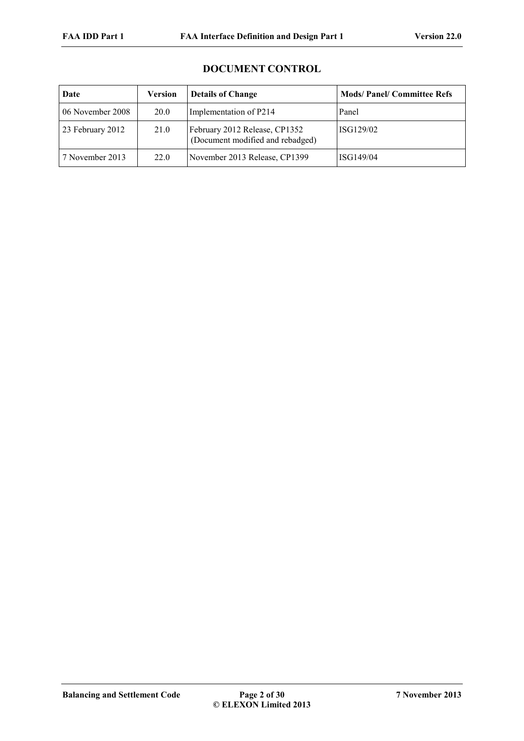# **DOCUMENT CONTROL**

| Date             | <b>Version</b> | <b>Details of Change</b>                                          | <b>Mods/Panel/Committee Refs</b> |
|------------------|----------------|-------------------------------------------------------------------|----------------------------------|
| 06 November 2008 | 20.0           | Implementation of P214                                            | Panel                            |
| 23 February 2012 | 21.0           | February 2012 Release, CP1352<br>(Document modified and rebadged) | ISG129/02                        |
| 7 November 2013  | 22.0           | November 2013 Release, CP1399                                     | ISG149/04                        |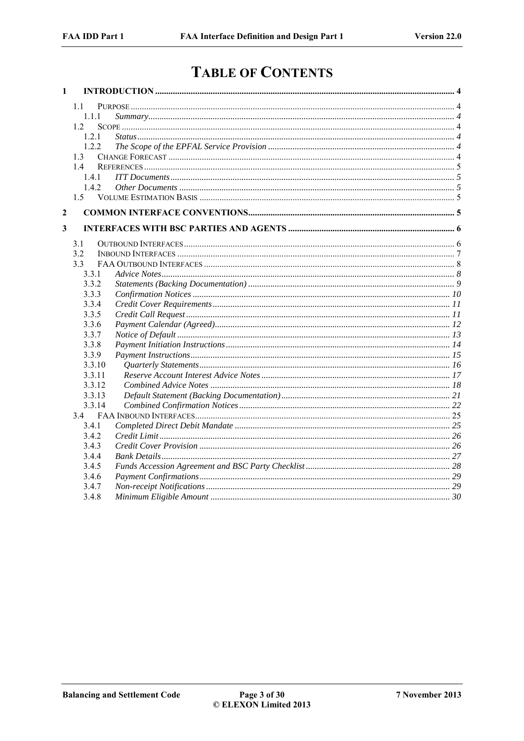# **TABLE OF CONTENTS**

| $\mathbf{1}$ |        |  |
|--------------|--------|--|
|              | 1.1    |  |
|              | 1.1.1  |  |
|              | 1.2    |  |
|              | 1.2.1  |  |
|              | 1.2.2  |  |
|              | 1.3    |  |
|              | 14     |  |
|              | 1.4.1  |  |
|              | 1.4.2  |  |
|              | 1.5    |  |
| $\mathbf{2}$ |        |  |
| 3            |        |  |
|              | 31     |  |
|              | 3.2    |  |
|              | 3.3    |  |
|              | 3.3.1  |  |
|              | 3.3.2  |  |
|              | 3.3.3  |  |
|              | 3.3.4  |  |
|              | 3.3.5  |  |
|              | 3.3.6  |  |
|              | 3.3.7  |  |
|              | 3.3.8  |  |
|              | 3.3.9  |  |
|              | 3.3.10 |  |
|              | 3.3.11 |  |
|              | 3.3.12 |  |
|              | 3.3.13 |  |
|              | 3.3.14 |  |
|              | 3.4    |  |
|              | 3.4.1  |  |
|              | 3.4.2  |  |
|              | 3.4.3  |  |
|              | 3.4.4  |  |
|              | 3.4.5  |  |
|              | 3.4.6  |  |
|              | 3.4.7  |  |
|              | 3.4.8  |  |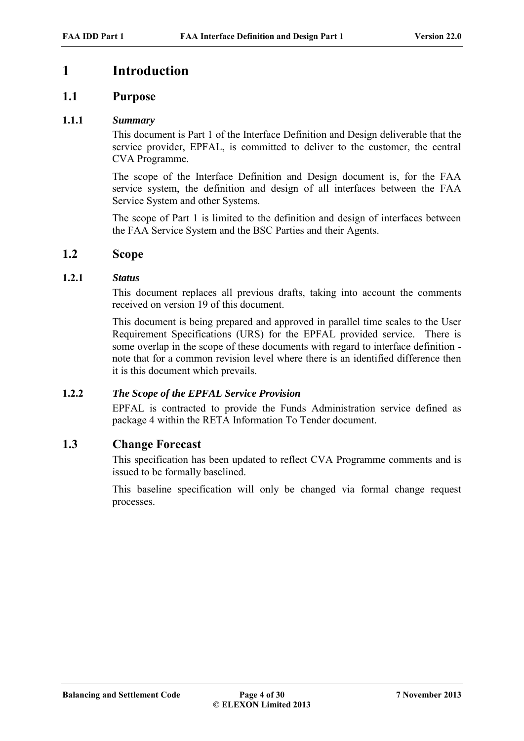# **1 Introduction**

# **1.1 Purpose**

### **1.1.1** *Summary*

This document is Part 1 of the Interface Definition and Design deliverable that the service provider, EPFAL, is committed to deliver to the customer, the central CVA Programme.

The scope of the Interface Definition and Design document is, for the FAA service system, the definition and design of all interfaces between the FAA Service System and other Systems.

The scope of Part 1 is limited to the definition and design of interfaces between the FAA Service System and the BSC Parties and their Agents.

### **1.2 Scope**

### **1.2.1** *Status*

This document replaces all previous drafts, taking into account the comments received on version 19 of this document.

This document is being prepared and approved in parallel time scales to the User Requirement Specifications (URS) for the EPFAL provided service. There is some overlap in the scope of these documents with regard to interface definition note that for a common revision level where there is an identified difference then it is this document which prevails.

### **1.2.2** *The Scope of the EPFAL Service Provision*

EPFAL is contracted to provide the Funds Administration service defined as package 4 within the RETA Information To Tender document.

## **1.3 Change Forecast**

This specification has been updated to reflect CVA Programme comments and is issued to be formally baselined.

This baseline specification will only be changed via formal change request processes.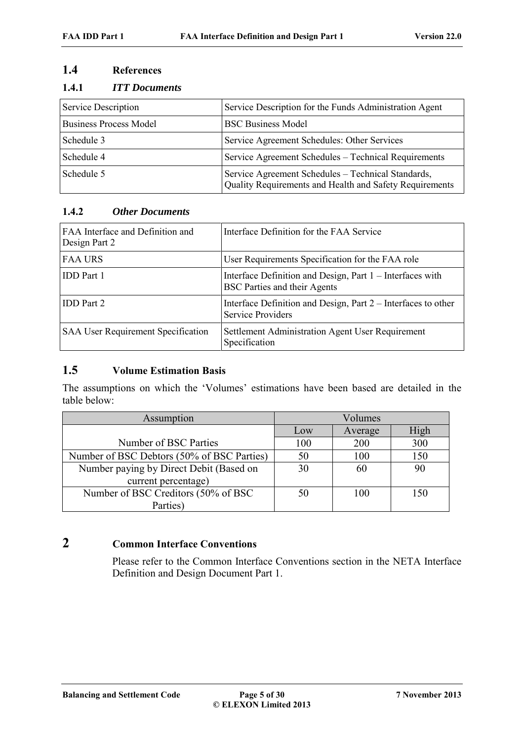# **1.4 References**

### **1.4.1** *ITT Documents*

| Service Description           | Service Description for the Funds Administration Agent                                                        |
|-------------------------------|---------------------------------------------------------------------------------------------------------------|
| <b>Business Process Model</b> | <b>BSC Business Model</b>                                                                                     |
| Schedule 3                    | Service Agreement Schedules: Other Services                                                                   |
| Schedule 4                    | Service Agreement Schedules - Technical Requirements                                                          |
| Schedule 5                    | Service Agreement Schedules - Technical Standards,<br>Quality Requirements and Health and Safety Requirements |

# **1.4.2** *Other Documents*

| FAA Interface and Definition and<br>Design Part 2 | Interface Definition for the FAA Service                                                         |
|---------------------------------------------------|--------------------------------------------------------------------------------------------------|
| <b>FAA URS</b>                                    | User Requirements Specification for the FAA role                                                 |
| <b>IDD</b> Part 1                                 | Interface Definition and Design, Part 1 – Interfaces with<br><b>BSC Parties and their Agents</b> |
| <b>IDD</b> Part 2                                 | Interface Definition and Design, Part 2 – Interfaces to other<br><b>Service Providers</b>        |
| <b>SAA User Requirement Specification</b>         | Settlement Administration Agent User Requirement<br>Specification                                |

# **1.5 Volume Estimation Basis**

The assumptions on which the 'Volumes' estimations have been based are detailed in the table below:

| Assumption                                 |     | Volumes |      |
|--------------------------------------------|-----|---------|------|
|                                            | Low | Average | High |
| Number of BSC Parties                      | 100 | 200     | 300  |
| Number of BSC Debtors (50% of BSC Parties) | 50  | 100     | 150  |
| Number paying by Direct Debit (Based on    | 30  | 60      | 90   |
| current percentage)                        |     |         |      |
| Number of BSC Creditors (50% of BSC        | 50  | 100     | 150  |
| Parties)                                   |     |         |      |

# **2 Common Interface Conventions**

Please refer to the Common Interface Conventions section in the NETA Interface Definition and Design Document Part 1.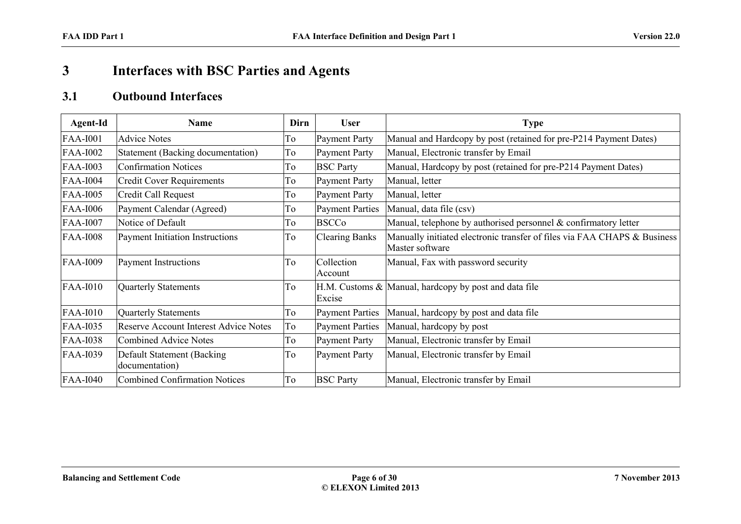# **3 Interfaces with BSC Parties and Agents**

# **3.1 Outbound Interfaces**

| Agent-Id        | <b>Name</b>                                  | Dirn | <b>User</b>            | <b>Type</b>                                                                                 |
|-----------------|----------------------------------------------|------|------------------------|---------------------------------------------------------------------------------------------|
| <b>FAA-I001</b> | <b>Advice Notes</b>                          | To   | <b>Payment Party</b>   | Manual and Hardcopy by post (retained for pre-P214 Payment Dates)                           |
| <b>FAA-I002</b> | Statement (Backing documentation)            | To   | <b>Payment Party</b>   | Manual, Electronic transfer by Email                                                        |
| <b>FAA-I003</b> | <b>Confirmation Notices</b>                  | To   | <b>BSC Party</b>       | Manual, Hardcopy by post (retained for pre-P214 Payment Dates)                              |
| <b>FAA-I004</b> | <b>Credit Cover Requirements</b>             | To   | <b>Payment Party</b>   | Manual, letter                                                                              |
| <b>FAA-I005</b> | Credit Call Request                          | To   | <b>Payment Party</b>   | Manual, letter                                                                              |
| <b>FAA-I006</b> | Payment Calendar (Agreed)                    | To   | <b>Payment Parties</b> | Manual, data file (csv)                                                                     |
| <b>FAA-I007</b> | Notice of Default                            | To   | <b>BSCCo</b>           | Manual, telephone by authorised personnel & confirmatory letter                             |
| <b>FAA-I008</b> | Payment Initiation Instructions              | To   | <b>Clearing Banks</b>  | Manually initiated electronic transfer of files via FAA CHAPS & Business<br>Master software |
| <b>FAA-I009</b> | <b>Payment Instructions</b>                  | To   | Collection<br>Account  | Manual, Fax with password security                                                          |
| <b>FAA-I010</b> | Quarterly Statements                         | To   | Excise                 | $H.M.$ Customs $\&$ Manual, hardcopy by post and data file                                  |
| <b>FAA-I010</b> | Quarterly Statements                         | To   | <b>Payment Parties</b> | Manual, hardcopy by post and data file                                                      |
| <b>FAA-I035</b> | Reserve Account Interest Advice Notes        | To   | <b>Payment Parties</b> | Manual, hardcopy by post                                                                    |
| <b>FAA-I038</b> | Combined Advice Notes                        | To   | <b>Payment Party</b>   | Manual, Electronic transfer by Email                                                        |
| <b>FAA-I039</b> | Default Statement (Backing<br>documentation) | To   | <b>Payment Party</b>   | Manual, Electronic transfer by Email                                                        |
| <b>FAA-I040</b> | <b>Combined Confirmation Notices</b>         | To   | <b>BSC Party</b>       | Manual, Electronic transfer by Email                                                        |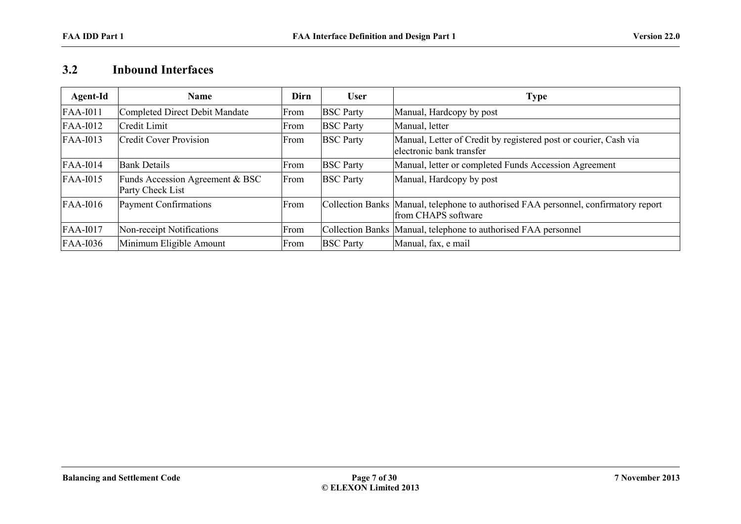# **3.2 Inbound Interfaces**

| Agent-Id        | <b>Name</b>                                         | Dirn | <b>User</b>      | Type                                                                                                       |
|-----------------|-----------------------------------------------------|------|------------------|------------------------------------------------------------------------------------------------------------|
| <b>FAA-I011</b> | Completed Direct Debit Mandate                      | From | <b>BSC</b> Party | Manual, Hardcopy by post                                                                                   |
| <b>FAA-I012</b> | Credit Limit                                        | From | <b>BSC</b> Party | Manual, letter                                                                                             |
| $FAA-I013$      | <b>Credit Cover Provision</b>                       | From | <b>BSC</b> Party | Manual, Letter of Credit by registered post or courier, Cash via<br>electronic bank transfer               |
| $FAA-I014$      | <b>Bank Details</b>                                 | From | <b>BSC</b> Party | Manual, letter or completed Funds Accession Agreement                                                      |
| FAA-I015        | Funds Accession Agreement & BSC<br>Party Check List | From | <b>BSC</b> Party | Manual, Hardcopy by post                                                                                   |
| $FAA-I016$      | Payment Confirmations                               | From |                  | Collection Banks Manual, telephone to authorised FAA personnel, confirmatory report<br>from CHAPS software |
| FAA-I017        | Non-receipt Notifications                           | From |                  | Collection Banks   Manual, telephone to authorised FAA personnel                                           |
| <b>FAA-I036</b> | Minimum Eligible Amount                             | From | <b>BSC Party</b> | Manual, fax, e mail                                                                                        |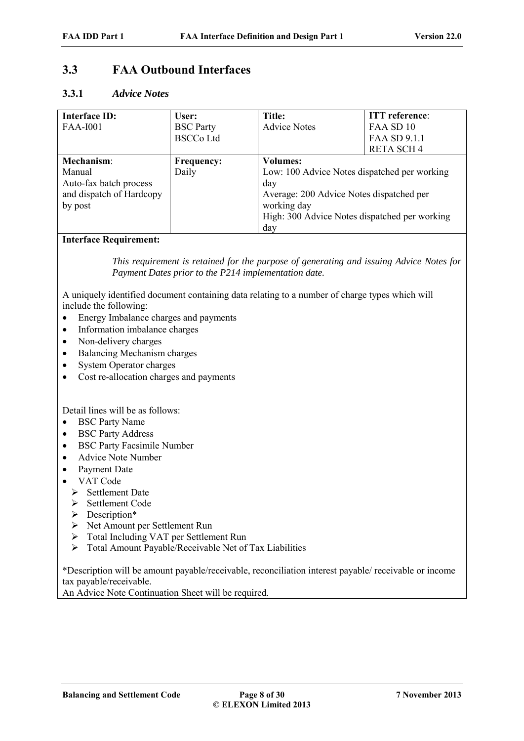# **3.3 FAA Outbound Interfaces**

### **3.3.1** *Advice Notes*

| <b>Interface ID:</b>     | User:             | Title:                                        | <b>ITT</b> reference: |
|--------------------------|-------------------|-----------------------------------------------|-----------------------|
| <b>FAA-I001</b>          | <b>BSC</b> Party  | <b>Advice Notes</b>                           | FAA SD 10             |
|                          | <b>BSCCo Ltd</b>  |                                               | FAA SD 9.1.1          |
|                          |                   |                                               | <b>RETA SCH4</b>      |
| Mechanism:               | <b>Frequency:</b> | <b>Volumes:</b>                               |                       |
| Manual                   | Daily             | Low: 100 Advice Notes dispatched per working  |                       |
| Auto-fax batch process   |                   | day                                           |                       |
| and dispatch of Hardcopy |                   | Average: 200 Advice Notes dispatched per      |                       |
| by post                  |                   | working day                                   |                       |
|                          |                   | High: 300 Advice Notes dispatched per working |                       |
|                          |                   | day                                           |                       |

#### **Interface Requirement:**

*This requirement is retained for the purpose of generating and issuing Advice Notes for Payment Dates prior to the P214 implementation date.*

A uniquely identified document containing data relating to a number of charge types which will include the following:

- Energy Imbalance charges and payments
- Information imbalance charges
- Non-delivery charges
- Balancing Mechanism charges
- System Operator charges
- Cost re-allocation charges and payments

Detail lines will be as follows:

- BSC Party Name
- BSC Party Address
- BSC Party Facsimile Number
- Advice Note Number
- Payment Date
- VAT Code
	- $\triangleright$  Settlement Date
	- > Settlement Code
	- > Description\*
	- Net Amount per Settlement Run
	- Total Including VAT per Settlement Run
	- > Total Amount Payable/Receivable Net of Tax Liabilities

\*Description will be amount payable/receivable, reconciliation interest payable/ receivable or income tax payable/receivable.

An Advice Note Continuation Sheet will be required.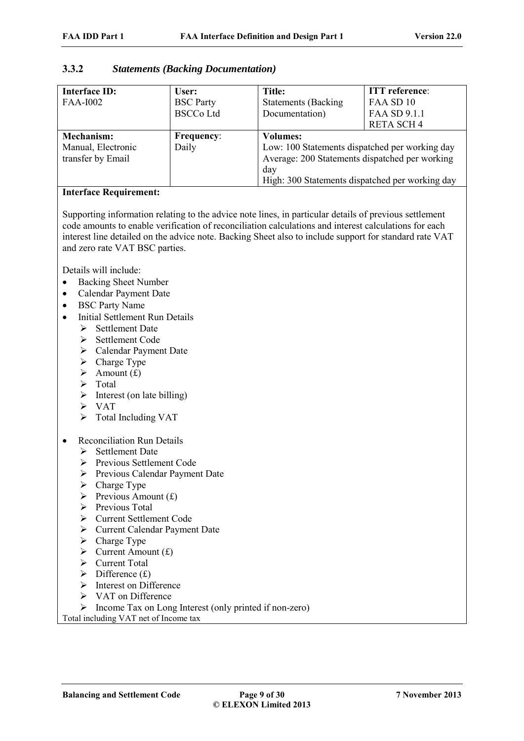# **3.3.2** *Statements (Backing Documentation)*

| <b>Interface ID:</b> | User:             | Title:                                          | <b>ITT</b> reference: |
|----------------------|-------------------|-------------------------------------------------|-----------------------|
| <b>FAA-I002</b>      | <b>BSC</b> Party  | <b>Statements (Backing</b>                      | FAA SD 10             |
|                      | <b>BSCCo Ltd</b>  | Documentation)                                  | FAA SD 9.1.1          |
|                      |                   |                                                 | <b>RETA SCH4</b>      |
| <b>Mechanism:</b>    | <b>Frequency:</b> | <b>Volumes:</b>                                 |                       |
| Manual, Electronic   | Daily             | Low: 100 Statements dispatched per working day  |                       |
| transfer by Email    |                   | Average: 200 Statements dispatched per working  |                       |
|                      |                   | day                                             |                       |
|                      |                   | High: 300 Statements dispatched per working day |                       |

#### **Interface Requirement:**

Supporting information relating to the advice note lines, in particular details of previous settlement code amounts to enable verification of reconciliation calculations and interest calculations for each interest line detailed on the advice note. Backing Sheet also to include support for standard rate VAT and zero rate VAT BSC parties.

Details will include:

- Backing Sheet Number
- Calendar Payment Date
- BSC Party Name
- Initial Settlement Run Details
	- $\triangleright$  Settlement Date
	- $\triangleright$  Settlement Code
	- Calendar Payment Date
	- $\triangleright$  Charge Type
	- $\triangleright$  Amount (£)
	- $\triangleright$  Total
	- $\triangleright$  Interest (on late billing)
	- VAT
	- > Total Including VAT
- Reconciliation Run Details
	- $\triangleright$  Settlement Date
	- Previous Settlement Code
	- Previous Calendar Payment Date
	- $\triangleright$  Charge Type
	- $\triangleright$  Previous Amount (£)
	- $\triangleright$  Previous Total
	- Current Settlement Code
	- Current Calendar Payment Date
	- $\triangleright$  Charge Type
	- $\triangleright$  Current Amount (£)
	- Current Total
	- $\triangleright$  Difference (£)
	- $\triangleright$  Interest on Difference
	- $\triangleright$  VAT on Difference
	- $\triangleright$  Income Tax on Long Interest (only printed if non-zero)

Total including VAT net of Income tax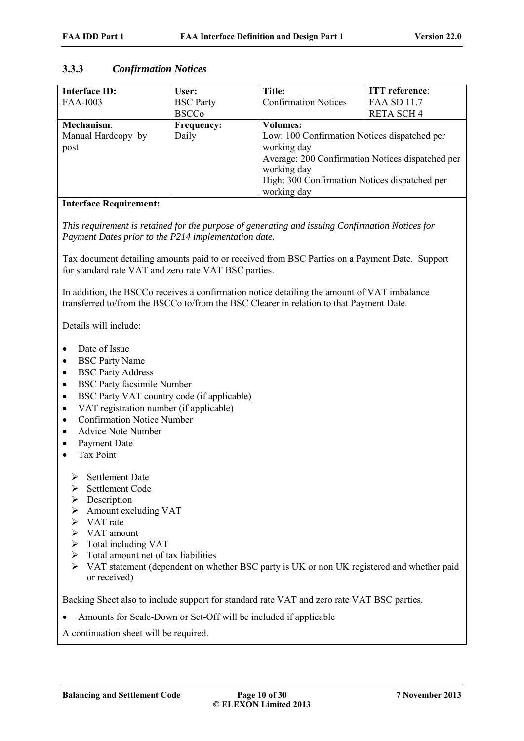### **3.3.3** *Confirmation Notices*

| <b>Interface ID:</b><br><b>FAA-I003</b>  | User:<br><b>BSC</b> Party<br><b>BSCCo</b> | Title:<br><b>Confirmation Notices</b>                                                                                                                                                                             | <b>ITT</b> reference:<br><b>FAA SD 11.7</b><br><b>RETA SCH4</b> |
|------------------------------------------|-------------------------------------------|-------------------------------------------------------------------------------------------------------------------------------------------------------------------------------------------------------------------|-----------------------------------------------------------------|
| Mechanism:<br>Manual Hardcopy by<br>post | <b>Frequency:</b><br>Daily                | <b>Volumes:</b><br>Low: 100 Confirmation Notices dispatched per<br>working day<br>Average: 200 Confirmation Notices dispatched per<br>working day<br>High: 300 Confirmation Notices dispatched per<br>working day |                                                                 |

### **Interface Requirement:**

*This requirement is retained for the purpose of generating and issuing Confirmation Notices for Payment Dates prior to the P214 implementation date.*

Tax document detailing amounts paid to or received from BSC Parties on a Payment Date. Support for standard rate VAT and zero rate VAT BSC parties.

In addition, the BSCCo receives a confirmation notice detailing the amount of VAT imbalance transferred to/from the BSCCo to/from the BSC Clearer in relation to that Payment Date.

Details will include:

- Date of Issue
- BSC Party Name
- BSC Party Address
- BSC Party facsimile Number
- BSC Party VAT country code (if applicable)
- VAT registration number (if applicable)
- Confirmation Notice Number
- Advice Note Number
- Payment Date
- Tax Point
	- $\triangleright$  Settlement Date
	- $\triangleright$  Settlement Code
	- $\triangleright$  Description
	- Amount excluding VAT
	- $\triangleright$  VAT rate
	- > VAT amount
	- $\triangleright$  Total including VAT
	- $\triangleright$  Total amount net of tax liabilities
	- VAT statement (dependent on whether BSC party is UK or non UK registered and whether paid or received)

Backing Sheet also to include support for standard rate VAT and zero rate VAT BSC parties.

Amounts for Scale-Down or Set-Off will be included if applicable

A continuation sheet will be required.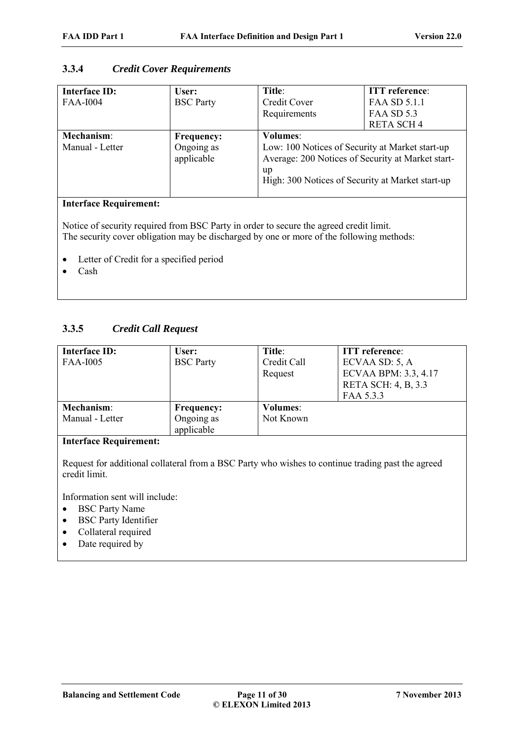# **3.3.4** *Credit Cover Requirements*

| <b>Interface ID:</b><br><b>FAA-I004</b> | User:<br><b>BSC</b> Party                     | Title:<br>Credit Cover<br>Requirements                                                                                                                                            | <b>ITT</b> reference:<br>FAA SD 5.1.1<br><b>FAA SD 5.3</b><br><b>RETA SCH4</b> |
|-----------------------------------------|-----------------------------------------------|-----------------------------------------------------------------------------------------------------------------------------------------------------------------------------------|--------------------------------------------------------------------------------|
| Mechanism:<br>Manual - Letter           | <b>Frequency:</b><br>Ongoing as<br>applicable | <b>Volumes:</b><br>Low: 100 Notices of Security at Market start-up<br>Average: 200 Notices of Security at Market start-<br>up<br>High: 300 Notices of Security at Market start-up |                                                                                |

### **Interface Requirement:**

Notice of security required from BSC Party in order to secure the agreed credit limit. The security cover obligation may be discharged by one or more of the following methods:

- Letter of Credit for a specified period
- Cash

# **3.3.5** *Credit Call Request*

| Interface ID:<br><b>FAA-I005</b>     | User:<br><b>BSC</b> Party                     | Title:<br>Credit Call<br>Request | <b>ITT</b> reference:<br>ECVAA SD: 5, A<br>ECVAA BPM: 3.3, 4.17<br>RETA SCH: 4, B, 3.3 |
|--------------------------------------|-----------------------------------------------|----------------------------------|----------------------------------------------------------------------------------------|
| <b>Mechanism:</b><br>Manual - Letter | <b>Frequency:</b><br>Ongoing as<br>applicable | <b>Volumes:</b><br>Not Known     | FAA 5.3.3                                                                              |

### **Interface Requirement:**

Request for additional collateral from a BSC Party who wishes to continue trading past the agreed credit limit.

Information sent will include:

- BSC Party Name
- BSC Party Identifier
- Collateral required
- Date required by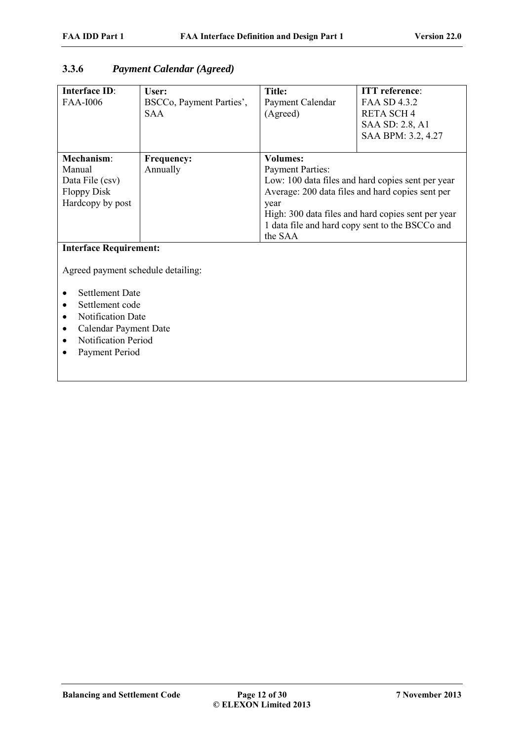# **3.3.6** *Payment Calendar (Agreed)*

| Interface ID:                      | User:                                  | <b>Title:</b>                | <b>ITT</b> reference:                              |  |
|------------------------------------|----------------------------------------|------------------------------|----------------------------------------------------|--|
| <b>FAA-I006</b>                    | BSCCo, Payment Parties',<br><b>SAA</b> | Payment Calendar<br>(Agreed) | FAA SD 4.3.2<br><b>RETA SCH4</b>                   |  |
|                                    |                                        |                              | SAA SD: 2.8, A1                                    |  |
|                                    |                                        |                              | SAA BPM: 3.2, 4.27                                 |  |
|                                    |                                        |                              |                                                    |  |
| Mechanism:                         | <b>Frequency:</b>                      | <b>Volumes:</b>              |                                                    |  |
| Manual                             | Annually                               | <b>Payment Parties:</b>      |                                                    |  |
| Data File (csv)                    |                                        |                              | Low: 100 data files and hard copies sent per year  |  |
| <b>Floppy Disk</b>                 |                                        |                              | Average: 200 data files and hard copies sent per   |  |
| Hardcopy by post                   |                                        | year                         |                                                    |  |
|                                    |                                        |                              | High: 300 data files and hard copies sent per year |  |
|                                    |                                        |                              | 1 data file and hard copy sent to the BSCCo and    |  |
|                                    |                                        | the SAA                      |                                                    |  |
| <b>Interface Requirement:</b>      |                                        |                              |                                                    |  |
| Agreed payment schedule detailing: |                                        |                              |                                                    |  |
| <b>Settlement Date</b>             |                                        |                              |                                                    |  |
| Settlement code                    |                                        |                              |                                                    |  |
| Notification Date                  |                                        |                              |                                                    |  |
| Calendar Payment Date              |                                        |                              |                                                    |  |
| <b>Notification Period</b>         |                                        |                              |                                                    |  |
| Payment Period                     |                                        |                              |                                                    |  |
|                                    |                                        |                              |                                                    |  |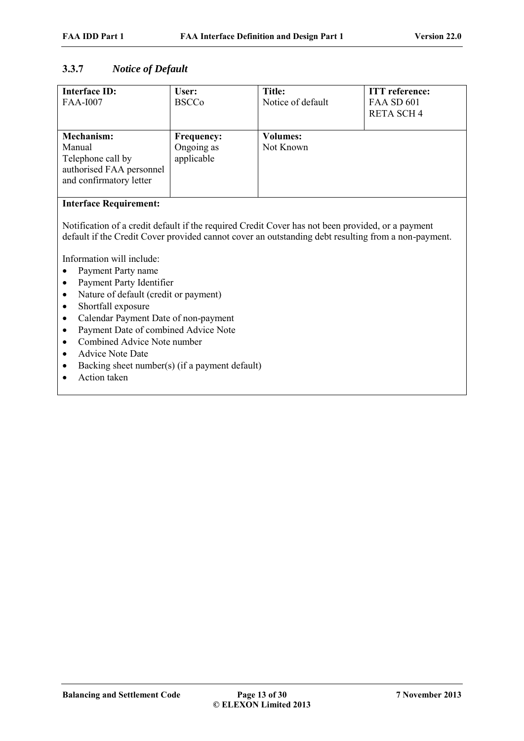### **3.3.7** *Notice of Default*

| <b>Interface ID:</b><br><b>FAA-I007</b>                                                                 | User:<br><b>BSCCo</b>                         | Title:<br>Notice of default  | <b>ITT</b> reference:<br><b>FAA SD 601</b><br><b>RETA SCH4</b> |
|---------------------------------------------------------------------------------------------------------|-----------------------------------------------|------------------------------|----------------------------------------------------------------|
| <b>Mechanism:</b><br>Manual<br>Telephone call by<br>authorised FAA personnel<br>and confirmatory letter | <b>Frequency:</b><br>Ongoing as<br>applicable | <b>Volumes:</b><br>Not Known |                                                                |

### **Interface Requirement:**

Notification of a credit default if the required Credit Cover has not been provided, or a payment default if the Credit Cover provided cannot cover an outstanding debt resulting from a non-payment.

Information will include:

- Payment Party name
- Payment Party Identifier
- Nature of default (credit or payment)
- Shortfall exposure
- Calendar Payment Date of non-payment
- Payment Date of combined Advice Note
- Combined Advice Note number
- Advice Note Date
- Backing sheet number(s) (if a payment default)
- Action taken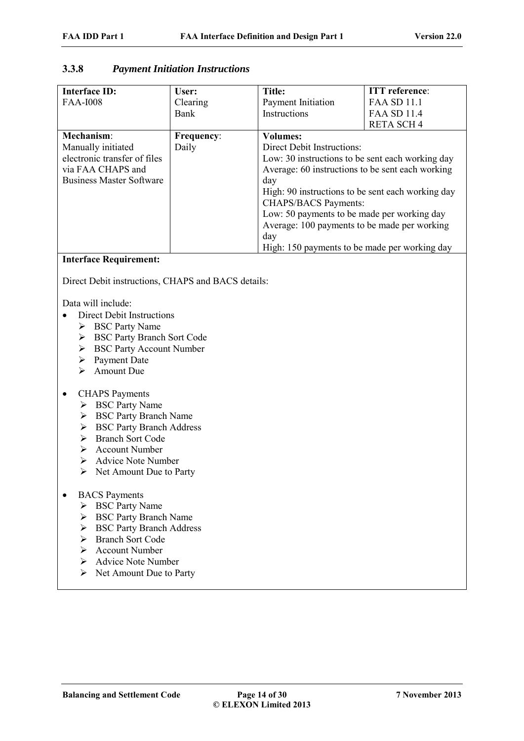### **3.3.8** *Payment Initiation Instructions*

| <b>Interface ID:</b>            | User:             | Title:                                            | <b>ITT</b> reference: |
|---------------------------------|-------------------|---------------------------------------------------|-----------------------|
| <b>FAA-I008</b>                 | Clearing          | Payment Initiation                                | <b>FAA SD 11.1</b>    |
|                                 | Bank              | Instructions                                      | <b>FAA SD 11.4</b>    |
|                                 |                   |                                                   | <b>RETA SCH4</b>      |
| Mechanism:                      | <b>Frequency:</b> | <b>Volumes:</b>                                   |                       |
| Manually initiated              | Daily             | <b>Direct Debit Instructions:</b>                 |                       |
| electronic transfer of files    |                   | Low: 30 instructions to be sent each working day  |                       |
| via FAA CHAPS and               |                   | Average: 60 instructions to be sent each working  |                       |
| <b>Business Master Software</b> |                   | day                                               |                       |
|                                 |                   | High: 90 instructions to be sent each working day |                       |
|                                 |                   | <b>CHAPS/BACS Payments:</b>                       |                       |
|                                 |                   | Low: 50 payments to be made per working day       |                       |
|                                 |                   | Average: 100 payments to be made per working      |                       |
|                                 |                   | day                                               |                       |
|                                 |                   | High: 150 payments to be made per working day     |                       |

#### **Interface Requirement:**

Direct Debit instructions, CHAPS and BACS details:

Data will include:

- Direct Debit Instructions
	- ▶ BSC Party Name
	- BSC Party Branch Sort Code
	- BSC Party Account Number
	- $\triangleright$  Payment Date
	- $\triangleright$  Amount Due

#### CHAPS Payments

- $\triangleright$  BSC Party Name
- ▶ BSC Party Branch Name
- ▶ BSC Party Branch Address
- $\triangleright$  Branch Sort Code
- $\triangleright$  Account Number
- Advice Note Number
- $\triangleright$  Net Amount Due to Party
- BACS Payments
	- $\triangleright$  BSC Party Name
	- ▶ BSC Party Branch Name
	- $\triangleright$  BSC Party Branch Address
	- > Branch Sort Code
	- Account Number
	- Advice Note Number
	- $\triangleright$  Net Amount Due to Party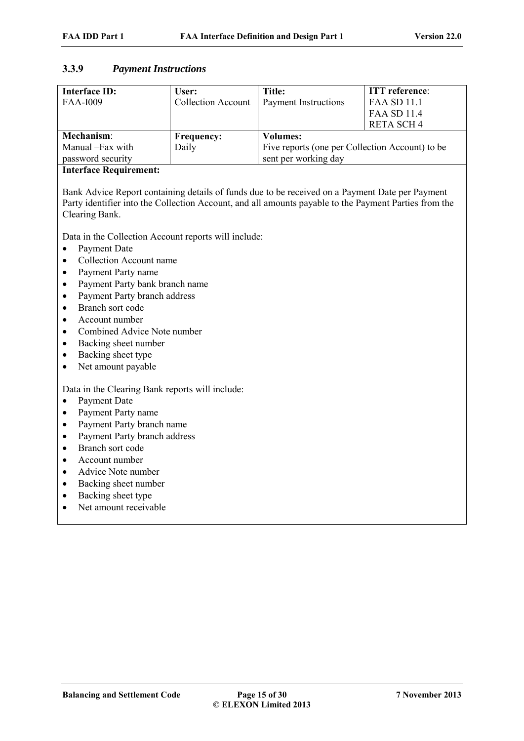### **3.3.9** *Payment Instructions*

| Interface ID:<br><b>FAA-I009</b> | User:<br><b>Collection Account</b> | <b>Title:</b><br><b>Payment Instructions</b>    | <b>ITT</b> reference:<br><b>FAA SD 11.1</b><br><b>FAA SD 11.4</b><br><b>RETA SCH4</b> |
|----------------------------------|------------------------------------|-------------------------------------------------|---------------------------------------------------------------------------------------|
| Mechanism:                       | <b>Frequency:</b>                  | <b>Volumes:</b>                                 |                                                                                       |
| Manual -Fax with                 | Daily                              | Five reports (one per Collection Account) to be |                                                                                       |
| password security                |                                    | sent per working day                            |                                                                                       |

### **Interface Requirement:**

Bank Advice Report containing details of funds due to be received on a Payment Date per Payment Party identifier into the Collection Account, and all amounts payable to the Payment Parties from the Clearing Bank.

Data in the Collection Account reports will include:

- Payment Date
- Collection Account name
- Payment Party name
- Payment Party bank branch name
- Payment Party branch address
- Branch sort code
- Account number
- Combined Advice Note number
- Backing sheet number
- Backing sheet type
- Net amount payable

Data in the Clearing Bank reports will include:

- Payment Date
- Payment Party name
- Payment Party branch name
- Payment Party branch address
- Branch sort code
- Account number
- Advice Note number
- Backing sheet number
- Backing sheet type
- Net amount receivable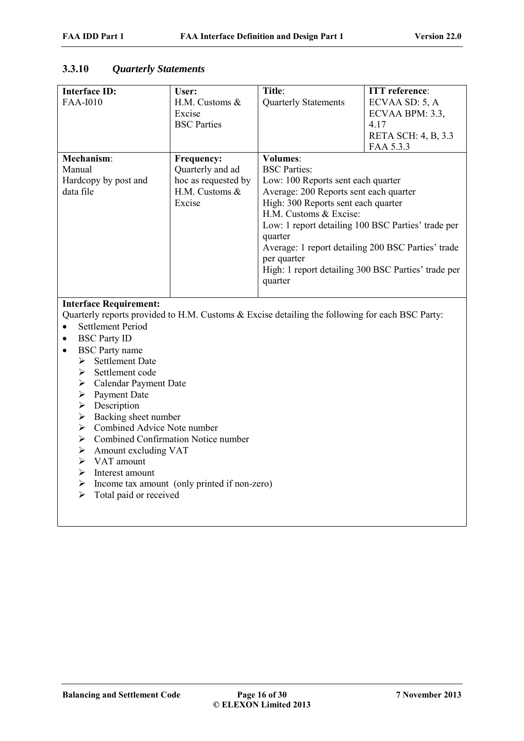| <b>Interface ID:</b><br><b>FAA-I010</b>                                                                                                                                                                                                                                                                                                                                                                                                                                                                                                                                                                                                                                           | User:<br>H.M. Customs &<br>Excise<br><b>BSC</b> Parties                             | Title:<br><b>Quarterly Statements</b>                                                                                                                                                                                                                                                                                                                                                           | <b>ITT</b> reference:<br>ECVAA SD: 5, A<br>ECVAA BPM: 3.3,<br>4.17<br>RETA SCH: 4, B, 3.3 |
|-----------------------------------------------------------------------------------------------------------------------------------------------------------------------------------------------------------------------------------------------------------------------------------------------------------------------------------------------------------------------------------------------------------------------------------------------------------------------------------------------------------------------------------------------------------------------------------------------------------------------------------------------------------------------------------|-------------------------------------------------------------------------------------|-------------------------------------------------------------------------------------------------------------------------------------------------------------------------------------------------------------------------------------------------------------------------------------------------------------------------------------------------------------------------------------------------|-------------------------------------------------------------------------------------------|
| Mechanism:<br>Manual<br>Hardcopy by post and<br>data file                                                                                                                                                                                                                                                                                                                                                                                                                                                                                                                                                                                                                         | Frequency:<br>Quarterly and ad<br>hoc as requested by<br>H.M. Customs &<br>Excise   | <b>Volumes:</b><br><b>BSC</b> Parties:<br>Low: 100 Reports sent each quarter<br>Average: 200 Reports sent each quarter<br>High: 300 Reports sent each quarter<br>H.M. Customs & Excise:<br>Low: 1 report detailing 100 BSC Parties' trade per<br>quarter<br>Average: 1 report detailing 200 BSC Parties' trade<br>per quarter<br>High: 1 report detailing 300 BSC Parties' trade per<br>quarter | FAA 5.3.3                                                                                 |
| <b>Interface Requirement:</b><br>Quarterly reports provided to H.M. Customs & Excise detailing the following for each BSC Party:<br><b>Settlement Period</b><br>$\bullet$<br><b>BSC Party ID</b><br>$\bullet$<br><b>BSC</b> Party name<br>$\bullet$<br>> Settlement Date<br>Settlement code<br>≻<br>$\triangleright$ Calendar Payment Date<br>Payment Date<br>$\blacktriangleright$<br>Description<br>$\blacktriangleright$<br>$\triangleright$ Backing sheet number<br>$\triangleright$ Combined Advice Note number<br>≻<br>Amount excluding VAT<br>$\blacktriangleright$<br>$\triangleright$ VAT amount<br>$\triangleright$ Interest amount<br>➤<br>Total paid or received<br>➤ | Combined Confirmation Notice number<br>Income tax amount (only printed if non-zero) |                                                                                                                                                                                                                                                                                                                                                                                                 |                                                                                           |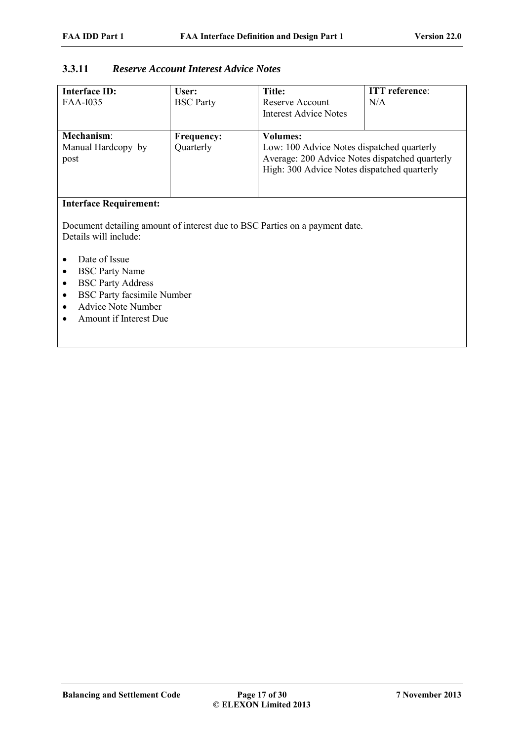# **3.3.11** *Reserve Account Interest Advice Notes*

| Interface ID:<br>FAA-I035                                                                                   | User:<br><b>BSC</b> Party      | Title:<br>Reserve Account<br><b>Interest Advice Notes</b>                                                                                                      | <b>ITT</b> reference:<br>N/A |  |
|-------------------------------------------------------------------------------------------------------------|--------------------------------|----------------------------------------------------------------------------------------------------------------------------------------------------------------|------------------------------|--|
| Mechanism:<br>Manual Hardcopy by<br>post                                                                    | <b>Frequency:</b><br>Quarterly | <b>Volumes:</b><br>Low: 100 Advice Notes dispatched quarterly<br>Average: 200 Advice Notes dispatched quarterly<br>High: 300 Advice Notes dispatched quarterly |                              |  |
| <b>Interface Requirement:</b><br>Document detailing amount of interest due to RSC Parties on a nayment date |                                |                                                                                                                                                                |                              |  |

Document detailing amount of interest due to BSC Parties on a payment date. Details will include:

- Date of Issue
- BSC Party Name
- BSC Party Address
- BSC Party facsimile Number
- Advice Note Number
- Amount if Interest Due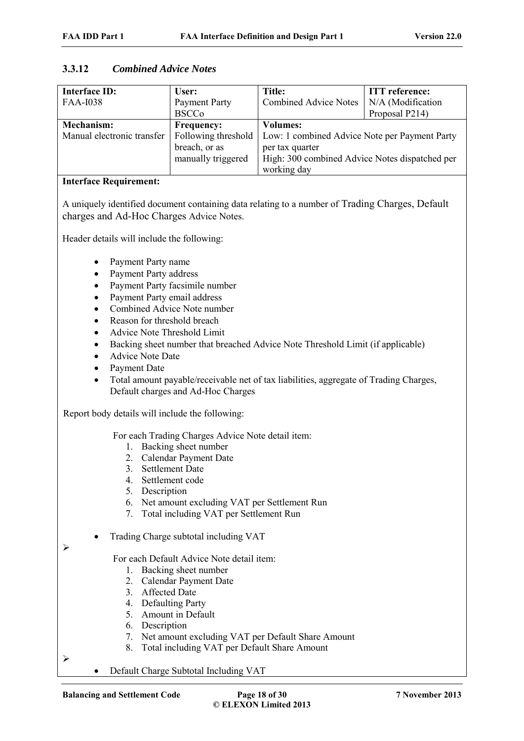| <b>Interface ID:</b>       | User:              | <b>Title:</b>                                                       | <b>ITT</b> reference: |
|----------------------------|--------------------|---------------------------------------------------------------------|-----------------------|
| <b>FAA-I038</b>            | Payment Party      | <b>Combined Advice Notes</b>                                        | N/A (Modification     |
|                            | <b>BSCCo</b>       |                                                                     | Proposal P214)        |
| Mechanism:                 | <b>Frequency:</b>  | <b>Volumes:</b>                                                     |                       |
| Manual electronic transfer |                    | Following threshold   Low: 1 combined Advice Note per Payment Party |                       |
|                            | breach, or as      | per tax quarter                                                     |                       |
|                            | manually triggered | High: 300 combined Advice Notes dispatched per                      |                       |
|                            |                    | working day                                                         |                       |

### **3.3.12** *Combined Advice Notes*

#### **Interface Requirement:**

A uniquely identified document containing data relating to a number of Trading Charges, Default charges and Ad-Hoc Charges Advice Notes.

Header details will include the following:

- Payment Party name
- Payment Party address
- Payment Party facsimile number
- Payment Party email address
- Combined Advice Note number
- Reason for threshold breach
- Advice Note Threshold Limit
- Backing sheet number that breached Advice Note Threshold Limit (if applicable)
- Advice Note Date
- Payment Date
- Total amount payable/receivable net of tax liabilities, aggregate of Trading Charges, Default charges and Ad-Hoc Charges

Report body details will include the following:

For each Trading Charges Advice Note detail item:

- 1. Backing sheet number
- 2. Calendar Payment Date
- 3. Settlement Date
- 4. Settlement code
- 5. Description
- 6. Net amount excluding VAT per Settlement Run
- 7. Total including VAT per Settlement Run
- Trading Charge subtotal including VAT

### For each Default Advice Note detail item:

- 1. Backing sheet number
- 2. Calendar Payment Date
- 3. Affected Date
- 4. Defaulting Party
- 5. Amount in Default
- 6. Description
- 7. Net amount excluding VAT per Default Share Amount
- 8. Total including VAT per Default Share Amount

 $\blacktriangleright$ 

 $\blacktriangleright$ 

Default Charge Subtotal Including VAT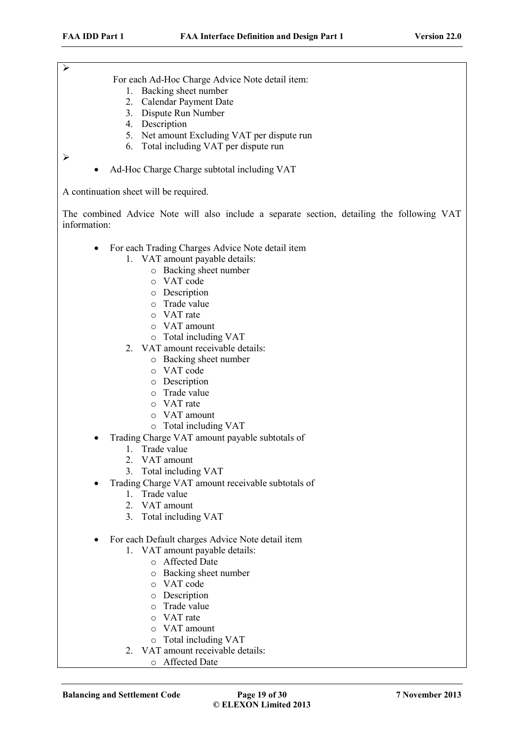For each Ad-Hoc Charge Advice Note detail item:

- 1. Backing sheet number
- 2. Calendar Payment Date
- 3. Dispute Run Number
- 4. Description
- 5. Net amount Excluding VAT per dispute run
- 6. Total including VAT per dispute run

 $\triangleright$ 

 $\blacktriangleright$ 

Ad-Hoc Charge Charge subtotal including VAT

A continuation sheet will be required.

The combined Advice Note will also include a separate section, detailing the following VAT information:

- For each Trading Charges Advice Note detail item
	- 1. VAT amount payable details:
		- o Backing sheet number
		- o VAT code
		- o Description
		- o Trade value
		- o VAT rate
		- o VAT amount
		- o Total including VAT
	- 2. VAT amount receivable details:
		- o Backing sheet number
		- o VAT code
		- o Description
		- o Trade value
		- o VAT rate
		- o VAT amount
		- o Total including VAT
- Trading Charge VAT amount payable subtotals of
	- 1. Trade value
	- 2. VAT amount
	- 3. Total including VAT
- Trading Charge VAT amount receivable subtotals of
	- 1. Trade value
	- 2. VAT amount
	- 3. Total including VAT
- For each Default charges Advice Note detail item
	- 1. VAT amount payable details:
		- o Affected Date
		- o Backing sheet number
		- o VAT code
		- o Description
		- o Trade value
		- o VAT rate
		- o VAT amount
		- o Total including VAT
	- 2. VAT amount receivable details:
		- o Affected Date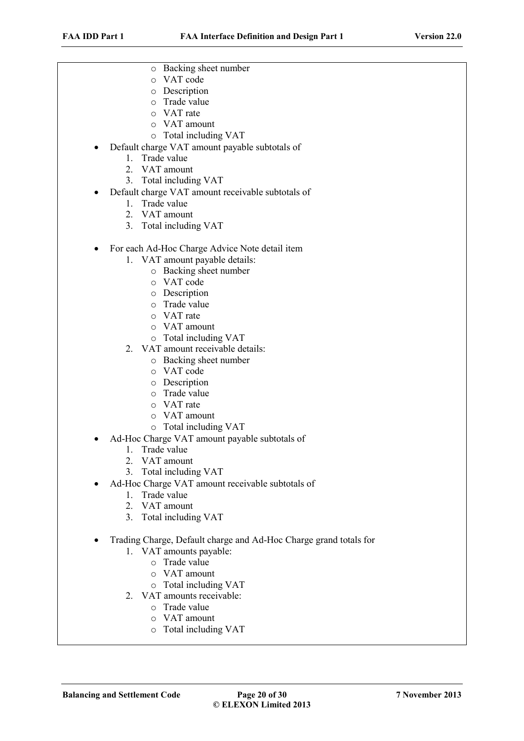- o Backing sheet number
- o VAT code
- o Description
- o Trade value
- o VAT rate
- o VAT amount
- o Total including VAT
- Default charge VAT amount payable subtotals of
	- 1. Trade value
	- 2. VAT amount
	- 3. Total including VAT
- Default charge VAT amount receivable subtotals of
	- 1. Trade value
	- 2. VAT amount
	- 3. Total including VAT
- For each Ad-Hoc Charge Advice Note detail item
	- 1. VAT amount payable details:
		- o Backing sheet number
		- o VAT code
		- o Description
		- o Trade value
		- o VAT rate
		- o VAT amount
		- o Total including VAT
	- 2. VAT amount receivable details:
		- o Backing sheet number
		- o VAT code
		- o Description
		- o Trade value
		- o VAT rate
		- o VAT amount
		- o Total including VAT
- Ad-Hoc Charge VAT amount payable subtotals of
	- 1. Trade value
	- 2. VAT amount
	- 3. Total including VAT
- Ad-Hoc Charge VAT amount receivable subtotals of
	- 1. Trade value
	- 2. VAT amount
	- 3. Total including VAT
- Trading Charge, Default charge and Ad-Hoc Charge grand totals for
	- 1. VAT amounts payable:
		- o Trade value
		- o VAT amount
		- o Total including VAT
	- 2. VAT amounts receivable:
		- o Trade value
		- o VAT amount
		- o Total including VAT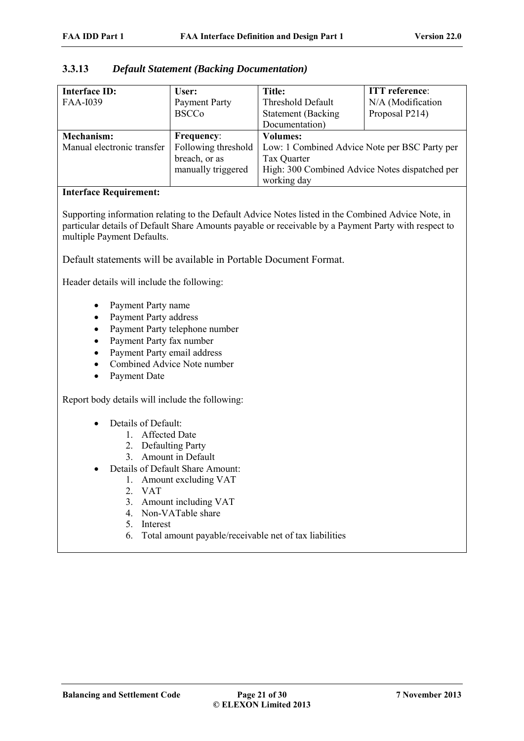| <b>Interface ID:</b>       | User:                | Title:                                         | <b>ITT</b> reference: |
|----------------------------|----------------------|------------------------------------------------|-----------------------|
| <b>FAA-I039</b>            | <b>Payment Party</b> | Threshold Default                              | N/A (Modification     |
|                            | <b>BSCCo</b>         | <b>Statement</b> (Backing                      | Proposal P214)        |
|                            |                      | Documentation)                                 |                       |
| <b>Mechanism:</b>          | <b>Frequency:</b>    | <b>Volumes:</b>                                |                       |
| Manual electronic transfer | Following threshold  | Low: 1 Combined Advice Note per BSC Party per  |                       |
|                            | breach, or as        | Tax Quarter                                    |                       |
|                            | manually triggered   | High: 300 Combined Advice Notes dispatched per |                       |
|                            |                      | working day                                    |                       |

### **3.3.13** *Default Statement (Backing Documentation)*

#### **Interface Requirement:**

Supporting information relating to the Default Advice Notes listed in the Combined Advice Note, in particular details of Default Share Amounts payable or receivable by a Payment Party with respect to multiple Payment Defaults.

Default statements will be available in Portable Document Format.

Header details will include the following:

- Payment Party name
- Payment Party address
- Payment Party telephone number
- Payment Party fax number
- Payment Party email address
- Combined Advice Note number
- Payment Date

Report body details will include the following:

- Details of Default<sup>:</sup>
	- 1. Affected Date
	- 2. Defaulting Party
	- 3. Amount in Default
- Details of Default Share Amount:
	- 1. Amount excluding VAT
	- 2. VAT
	- 3. Amount including VAT
	- 4. Non-VATable share
	- 5. Interest
	- 6. Total amount payable/receivable net of tax liabilities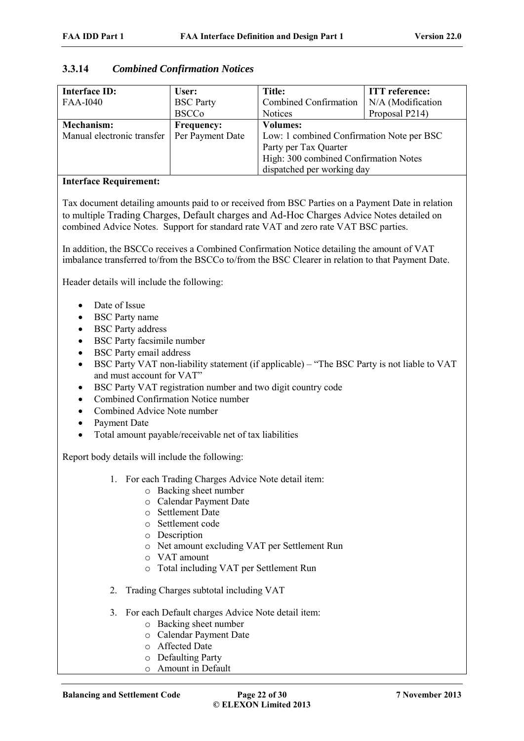# **3.3.14** *Combined Confirmation Notices*

| <b>Interface ID:</b>       | User:             | Title:                                    | <b>ITT</b> reference: |
|----------------------------|-------------------|-------------------------------------------|-----------------------|
| <b>FAA-I040</b>            | <b>BSC</b> Party  | Combined Confirmation                     | N/A (Modification     |
|                            | <b>BSCCo</b>      | <b>Notices</b>                            | Proposal P214)        |
| <b>Mechanism:</b>          | <b>Frequency:</b> | <b>Volumes:</b>                           |                       |
| Manual electronic transfer | Per Payment Date  | Low: 1 combined Confirmation Note per BSC |                       |
|                            |                   | Party per Tax Quarter                     |                       |
|                            |                   | High: 300 combined Confirmation Notes     |                       |
|                            |                   | dispatched per working day                |                       |

#### **Interface Requirement:**

Tax document detailing amounts paid to or received from BSC Parties on a Payment Date in relation to multiple Trading Charges, Default charges and Ad-Hoc Charges Advice Notes detailed on combined Advice Notes. Support for standard rate VAT and zero rate VAT BSC parties.

In addition, the BSCCo receives a Combined Confirmation Notice detailing the amount of VAT imbalance transferred to/from the BSCCo to/from the BSC Clearer in relation to that Payment Date.

Header details will include the following:

- Date of Issue
- BSC Party name
- BSC Party address
- BSC Party facsimile number
- BSC Party email address
- BSC Party VAT non-liability statement (if applicable) "The BSC Party is not liable to VAT and must account for VAT"
- BSC Party VAT registration number and two digit country code
- Combined Confirmation Notice number
- Combined Advice Note number
- Payment Date
- Total amount payable/receivable net of tax liabilities

Report body details will include the following:

- 1. For each Trading Charges Advice Note detail item:
	- o Backing sheet number
	- o Calendar Payment Date
	- o Settlement Date
	- o Settlement code
	- o Description
	- o Net amount excluding VAT per Settlement Run
	- o VAT amount
	- o Total including VAT per Settlement Run
- 2. Trading Charges subtotal including VAT
- 3. For each Default charges Advice Note detail item:
	- o Backing sheet number
	- o Calendar Payment Date
	- o Affected Date
	- o Defaulting Party
	- o Amount in Default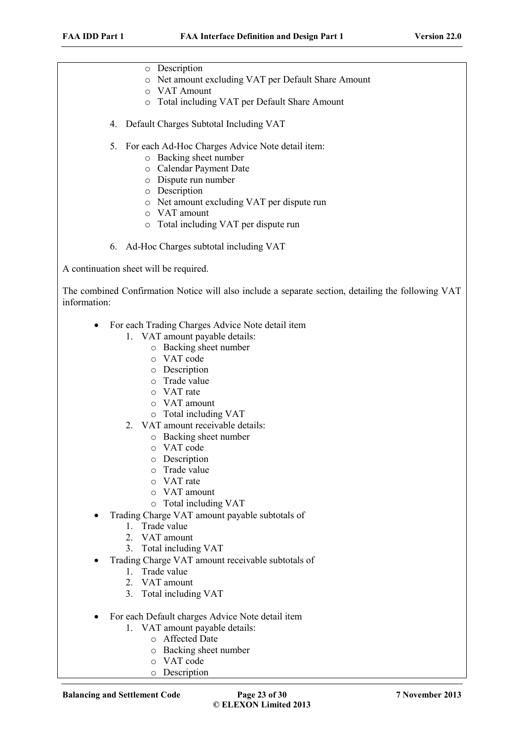- o Description
- o Net amount excluding VAT per Default Share Amount
- o VAT Amount
- o Total including VAT per Default Share Amount
- 4. Default Charges Subtotal Including VAT
- 5. For each Ad-Hoc Charges Advice Note detail item:
	- o Backing sheet number
	- o Calendar Payment Date
	- o Dispute run number
	- o Description
	- o Net amount excluding VAT per dispute run
	- o VAT amount
	- o Total including VAT per dispute run
- 6. Ad-Hoc Charges subtotal including VAT

A continuation sheet will be required.

The combined Confirmation Notice will also include a separate section, detailing the following VAT information:

- For each Trading Charges Advice Note detail item
	- 1. VAT amount payable details:
		- o Backing sheet number
		- o VAT code
		- o Description
		- o Trade value
		- o VAT rate
		- o VAT amount
		- o Total including VAT
	- 2. VAT amount receivable details:
		- o Backing sheet number
		- o VAT code
		- o Description
		- o Trade value
		- o VAT rate
		- o VAT amount
		- o Total including VAT
- Trading Charge VAT amount payable subtotals of
	- 1. Trade value
	- 2. VAT amount
	- 3. Total including VAT
- Trading Charge VAT amount receivable subtotals of
	- 1. Trade value
	- 2. VAT amount
	- 3. Total including VAT
- For each Default charges Advice Note detail item
	- 1. VAT amount payable details:
		- o Affected Date
		- o Backing sheet number
		- o VAT code
		- o Description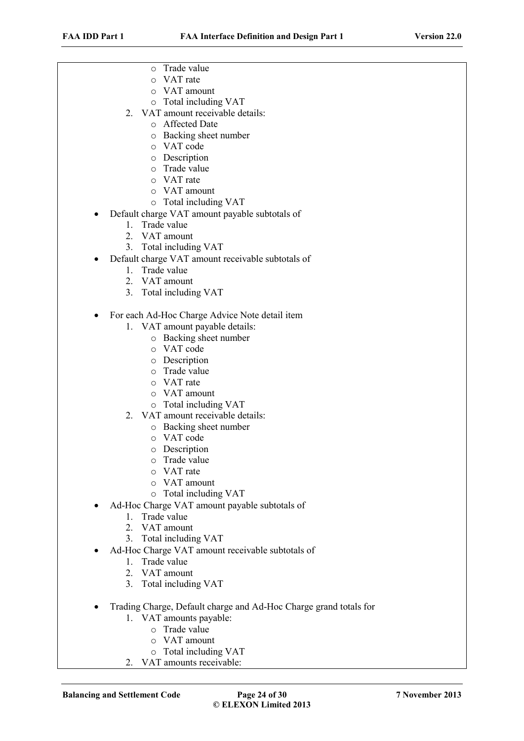- o Trade value
- o VAT rate
- o VAT amount
- o Total including VAT
- 2. VAT amount receivable details:
	- o Affected Date
	- o Backing sheet number
	- o VAT code
	- o Description
	- o Trade value
	- o VAT rate
	- o VAT amount
	- o Total including VAT
- Default charge VAT amount payable subtotals of
	- 1. Trade value
	- 2. VAT amount
	- 3. Total including VAT
- Default charge VAT amount receivable subtotals of
	- 1. Trade value
	- 2. VAT amount
	- 3. Total including VAT
- For each Ad-Hoc Charge Advice Note detail item
	- 1. VAT amount payable details:
		- o Backing sheet number
		- o VAT code
		- o Description
		- o Trade value
		- o VAT rate
		- o VAT amount
		- o Total including VAT
	- 2. VAT amount receivable details:
		- o Backing sheet number
		- o VAT code
		- o Description
		- o Trade value
		- o VAT rate
		- o VAT amount
		- o Total including VAT
- Ad-Hoc Charge VAT amount payable subtotals of
	- 1. Trade value
	- 2. VAT amount
	- 3. Total including VAT
- Ad-Hoc Charge VAT amount receivable subtotals of
	- 1. Trade value
	- 2. VAT amount
	- 3. Total including VAT
- Trading Charge, Default charge and Ad-Hoc Charge grand totals for
	- 1. VAT amounts payable:
		- o Trade value
		- o VAT amount
		- o Total including VAT
	- 2. VAT amounts receivable: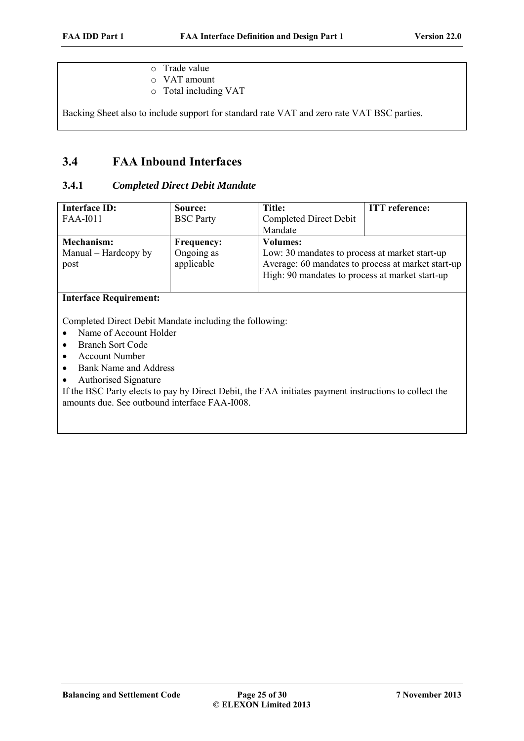- o Trade value
- o VAT amount
- o Total including VAT

Backing Sheet also to include support for standard rate VAT and zero rate VAT BSC parties.

# **3.4 FAA Inbound Interfaces**

### **3.4.1** *Completed Direct Debit Mandate*

| <b>Interface ID:</b><br><b>FAA-I011</b>           | Source:<br><b>BSC</b> Party                   | Title:<br><b>Completed Direct Debit</b><br>Mandate                                                                                                                         | <b>ITT</b> reference: |
|---------------------------------------------------|-----------------------------------------------|----------------------------------------------------------------------------------------------------------------------------------------------------------------------------|-----------------------|
| <b>Mechanism:</b><br>Manual – Hardcopy by<br>post | <b>Frequency:</b><br>Ongoing as<br>applicable | <b>Volumes:</b><br>Low: 30 mandates to process at market start-up<br>Average: 60 mandates to process at market start-up<br>High: 90 mandates to process at market start-up |                       |

## **Interface Requirement:**

Completed Direct Debit Mandate including the following:

- Name of Account Holder
- Branch Sort Code
- Account Number
- Bank Name and Address
- Authorised Signature

If the BSC Party elects to pay by Direct Debit, the FAA initiates payment instructions to collect the amounts due. See outbound interface FAA-I008.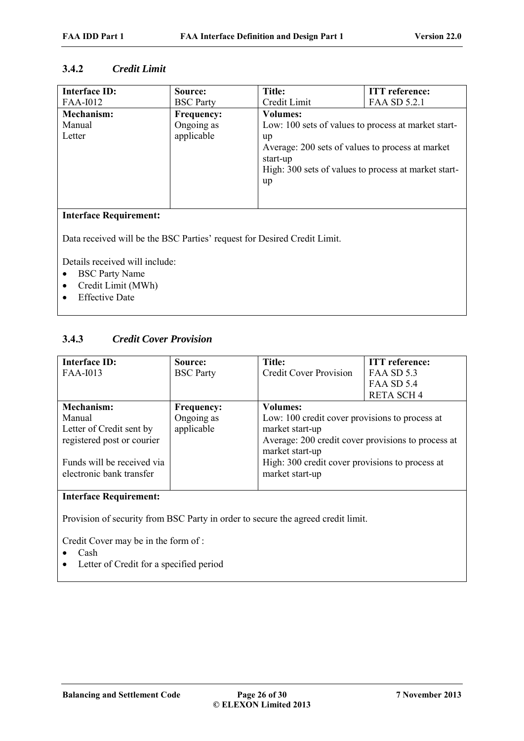# **3.4.2** *Credit Limit*

| <b>Interface ID:</b>   | Source:           | Title:                                               | <b>ITT</b> reference: |
|------------------------|-------------------|------------------------------------------------------|-----------------------|
| FAA-1012               | <b>BSC</b> Party  | Credit Limit                                         | FAA SD 5.2.1          |
| Mechanism:             | <b>Frequency:</b> | <b>Volumes:</b>                                      |                       |
| Manual                 | Ongoing as        | Low: 100 sets of values to process at market start-  |                       |
| Letter                 | applicable        | up                                                   |                       |
|                        |                   | Average: 200 sets of values to process at market     |                       |
|                        |                   | start-up                                             |                       |
|                        |                   | High: 300 sets of values to process at market start- |                       |
|                        |                   | up                                                   |                       |
|                        |                   |                                                      |                       |
|                        |                   |                                                      |                       |
| Interface Dequirement: |                   |                                                      |                       |

#### **Interface Requirement:**

Data received will be the BSC Parties' request for Desired Credit Limit.

Details received will include:

- BSC Party Name
- Credit Limit (MWh)
- Effective Date

## **3.4.3** *Credit Cover Provision*

| <b>Interface ID:</b>       | Source:           | <b>Title:</b>                                      | <b>ITT</b> reference: |
|----------------------------|-------------------|----------------------------------------------------|-----------------------|
| FAA-1013                   | <b>BSC</b> Party  | <b>Credit Cover Provision</b>                      | FAA SD 5.3            |
|                            |                   |                                                    | <b>FAA SD 5.4</b>     |
|                            |                   |                                                    | <b>RETA SCH4</b>      |
| <b>Mechanism:</b>          | <b>Frequency:</b> | <b>Volumes:</b>                                    |                       |
| Manual                     | Ongoing as        | Low: 100 credit cover provisions to process at     |                       |
| Letter of Credit sent by   | applicable        | market start-up                                    |                       |
| registered post or courier |                   | Average: 200 credit cover provisions to process at |                       |
|                            |                   | market start-up                                    |                       |
| Funds will be received via |                   | High: 300 credit cover provisions to process at    |                       |
| electronic bank transfer   |                   | market start-up                                    |                       |
|                            |                   |                                                    |                       |

### **Interface Requirement:**

Provision of security from BSC Party in order to secure the agreed credit limit.

Credit Cover may be in the form of :

- Cash
- Letter of Credit for a specified period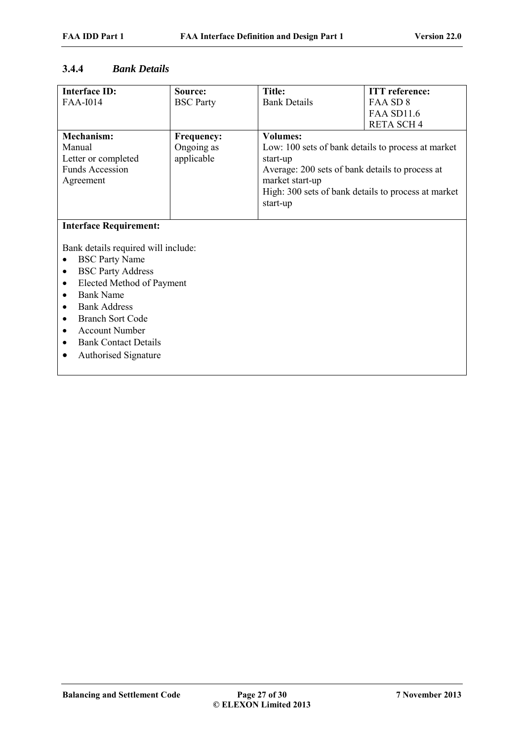### **3.4.4** *Bank Details*

| <b>Interface ID:</b>                  | Source:           | <b>Title:</b>                                       | <b>ITT</b> reference: |
|---------------------------------------|-------------------|-----------------------------------------------------|-----------------------|
| <b>FAA-I014</b>                       | <b>BSC</b> Party  | <b>Bank Details</b>                                 | FAA SD 8              |
|                                       |                   |                                                     | <b>FAA SD11.6</b>     |
|                                       |                   |                                                     | <b>RETA SCH4</b>      |
| <b>Mechanism:</b>                     | <b>Frequency:</b> | <b>Volumes:</b>                                     |                       |
| Manual                                | Ongoing as        | Low: 100 sets of bank details to process at market  |                       |
| Letter or completed                   | applicable        | start-up                                            |                       |
| <b>Funds Accession</b>                |                   | Average: 200 sets of bank details to process at     |                       |
| Agreement                             |                   | market start-up                                     |                       |
|                                       |                   | High: 300 sets of bank details to process at market |                       |
|                                       |                   | start-up                                            |                       |
|                                       |                   |                                                     |                       |
| <b>Interface Requirement:</b>         |                   |                                                     |                       |
|                                       |                   |                                                     |                       |
| Bank details required will include:   |                   |                                                     |                       |
| <b>BSC Party Name</b>                 |                   |                                                     |                       |
| <b>BSC Party Address</b><br>$\bullet$ |                   |                                                     |                       |
| Elected Method of Payment<br>٠        |                   |                                                     |                       |
| <b>Bank Name</b><br>$\bullet$         |                   |                                                     |                       |
| <b>Bank Address</b>                   |                   |                                                     |                       |
| <b>Branch Sort Code</b>               |                   |                                                     |                       |
| <b>Account Number</b>                 |                   |                                                     |                       |
| <b>Bank Contact Details</b>           |                   |                                                     |                       |
| <b>Authorised Signature</b>           |                   |                                                     |                       |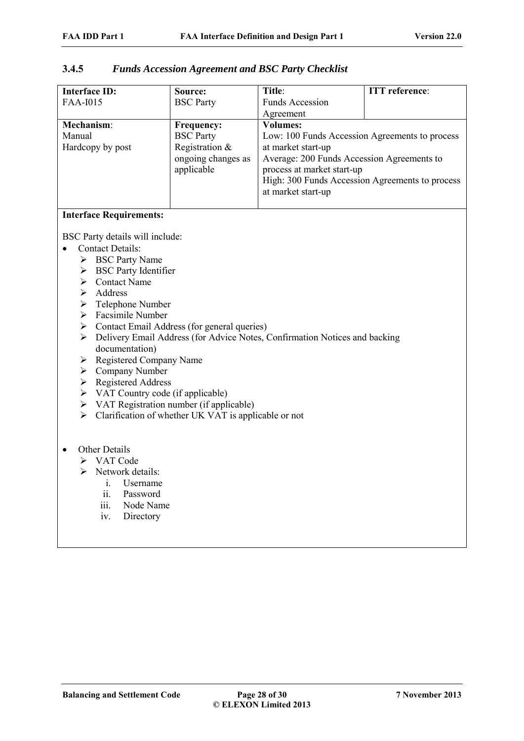| 3.4.5 | <b>Funds Accession Agreement and BSC Party Checklist</b> |
|-------|----------------------------------------------------------|
|-------|----------------------------------------------------------|

| <b>Interface ID:</b>                                                                           | Source:                          | Title:                                                                        | <b>ITT</b> reference: |  |
|------------------------------------------------------------------------------------------------|----------------------------------|-------------------------------------------------------------------------------|-----------------------|--|
| <b>FAA-I015</b>                                                                                | <b>BSC</b> Party                 | <b>Funds Accession</b>                                                        |                       |  |
|                                                                                                |                                  | Agreement                                                                     |                       |  |
| Mechanism:                                                                                     | Frequency:                       | <b>Volumes:</b>                                                               |                       |  |
| Manual                                                                                         | <b>BSC</b> Party                 | Low: 100 Funds Accession Agreements to process                                |                       |  |
| Hardcopy by post                                                                               | Registration &                   | at market start-up                                                            |                       |  |
|                                                                                                | ongoing changes as<br>applicable | Average: 200 Funds Accession Agreements to                                    |                       |  |
|                                                                                                |                                  | process at market start-up<br>High: 300 Funds Accession Agreements to process |                       |  |
|                                                                                                |                                  | at market start-up                                                            |                       |  |
|                                                                                                |                                  |                                                                               |                       |  |
| <b>Interface Requirements:</b>                                                                 |                                  |                                                                               |                       |  |
|                                                                                                |                                  |                                                                               |                       |  |
| BSC Party details will include:                                                                |                                  |                                                                               |                       |  |
| <b>Contact Details:</b>                                                                        |                                  |                                                                               |                       |  |
| > BSC Party Name                                                                               |                                  |                                                                               |                       |  |
| $\triangleright$ BSC Party Identifier                                                          |                                  |                                                                               |                       |  |
| $\triangleright$ Contact Name                                                                  |                                  |                                                                               |                       |  |
| $\triangleright$ Address                                                                       |                                  |                                                                               |                       |  |
| $\triangleright$ Telephone Number                                                              |                                  |                                                                               |                       |  |
| $\triangleright$ Facsimile Number                                                              |                                  |                                                                               |                       |  |
| > Contact Email Address (for general queries)                                                  |                                  |                                                                               |                       |  |
| ➤                                                                                              |                                  | Delivery Email Address (for Advice Notes, Confirmation Notices and backing    |                       |  |
| documentation)                                                                                 |                                  |                                                                               |                       |  |
| Registered Company Name<br>➤                                                                   |                                  |                                                                               |                       |  |
| $\triangleright$ Company Number                                                                |                                  |                                                                               |                       |  |
| $\triangleright$ Registered Address                                                            |                                  |                                                                               |                       |  |
| $\triangleright$ VAT Country code (if applicable)<br>> VAT Registration number (if applicable) |                                  |                                                                               |                       |  |
|                                                                                                |                                  |                                                                               |                       |  |
| Clarification of whether UK VAT is applicable or not<br>➤                                      |                                  |                                                                               |                       |  |
|                                                                                                |                                  |                                                                               |                       |  |
| Other Details                                                                                  |                                  |                                                                               |                       |  |
| > VAT Code                                                                                     |                                  |                                                                               |                       |  |
| Network details:<br>⋗                                                                          |                                  |                                                                               |                       |  |
| Username<br>$i_{-}$                                                                            |                                  |                                                                               |                       |  |
| Password<br>ii.                                                                                |                                  |                                                                               |                       |  |
| iii.                                                                                           | Node Name                        |                                                                               |                       |  |
| Directory<br>iv.                                                                               |                                  |                                                                               |                       |  |
|                                                                                                |                                  |                                                                               |                       |  |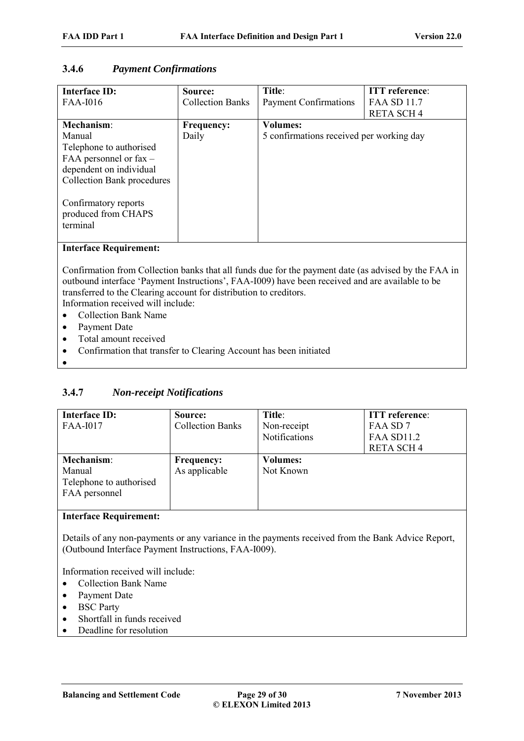# **3.4.6** *Payment Confirmations*

| <b>Interface ID:</b><br><b>FAA-I016</b>                                                                                                                                                           | Source:<br><b>Collection Banks</b> | Title:<br>Payment Confirmations                             | <b>ITT</b> reference:<br><b>FAA SD 11.7</b> |
|---------------------------------------------------------------------------------------------------------------------------------------------------------------------------------------------------|------------------------------------|-------------------------------------------------------------|---------------------------------------------|
|                                                                                                                                                                                                   |                                    |                                                             | <b>RETA SCH4</b>                            |
| Mechanism:<br>Manual<br>Telephone to authorised<br>FAA personnel or $\text{fax}$ –<br>dependent on individual<br><b>Collection Bank procedures</b><br>Confirmatory reports<br>produced from CHAPS | <b>Frequency:</b><br>Daily         | <b>Volumes:</b><br>5 confirmations received per working day |                                             |
| terminal<br>$In$ taufaaa Daariyamanta                                                                                                                                                             |                                    |                                                             |                                             |

**Interface Requirement:**

Confirmation from Collection banks that all funds due for the payment date (as advised by the FAA in outbound interface 'Payment Instructions', FAA-I009) have been received and are available to be transferred to the Clearing account for distribution to creditors.

Information received will include:

- Collection Bank Name
- Payment Date
- Total amount received
- Confirmation that transfer to Clearing Account has been initiated
- $\bullet$

# **3.4.7** *Non-receipt Notifications*

| <b>Interface ID:</b><br><b>FAA-I017</b>                          | Source:<br><b>Collection Banks</b> | Title:<br>Non-receipt<br>Notifications | <b>ITT</b> reference:<br>FAA SD7<br><b>FAA SD11.2</b><br><b>RETA SCH4</b> |
|------------------------------------------------------------------|------------------------------------|----------------------------------------|---------------------------------------------------------------------------|
| Mechanism:<br>Manual<br>Telephone to authorised<br>FAA personnel | <b>Frequency:</b><br>As applicable | <b>Volumes:</b><br>Not Known           |                                                                           |

### **Interface Requirement:**

Details of any non-payments or any variance in the payments received from the Bank Advice Report, (Outbound Interface Payment Instructions, FAA-I009).

Information received will include:

- Collection Bank Name
- Payment Date
- BSC Party
- Shortfall in funds received
- Deadline for resolution